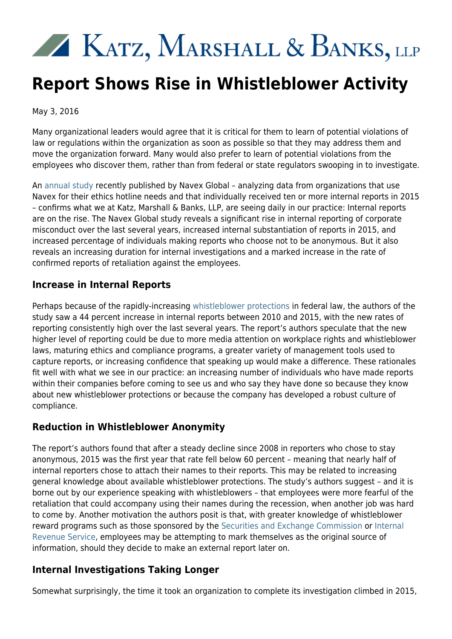# KATZ, MARSHALL & BANKS, LLP

## **Report Shows Rise in Whistleblower Activity**

May 3, 2016

Many organizational leaders would agree that it is critical for them to learn of potential violations of law or regulations within the organization as soon as possible so that they may address them and move the organization forward. Many would also prefer to learn of potential violations from the employees who discover them, rather than from federal or state regulators swooping in to investigate.

An [annual study](http://trust.navexglobal.com/rs/852-MYR-807/images/NAVEXGlobal_2016_Hotline_BenchmarkReport.pdf) recently published by Navex Global – analyzing data from organizations that use Navex for their ethics hotline needs and that individually received ten or more internal reports in 2015 – confirms what we at Katz, Marshall & Banks, LLP, are seeing daily in our practice: Internal reports are on the rise. The Navex Global study reveals a significant rise in internal reporting of corporate misconduct over the last several years, increased internal substantiation of reports in 2015, and increased percentage of individuals making reports who choose not to be anonymous. But it also reveals an increasing duration for internal investigations and a marked increase in the rate of confirmed reports of retaliation against the employees.

#### **Increase in Internal Reports**

Perhaps because of the rapidly-increasing [whistleblower protections](http://www.kmblegal.com/resources/whistleblower-protection-act) in federal law, the authors of the study saw a 44 percent increase in internal reports between 2010 and 2015, with the new rates of reporting consistently high over the last several years. The report's authors speculate that the new higher level of reporting could be due to more media attention on workplace rights and whistleblower laws, maturing ethics and compliance programs, a greater variety of management tools used to capture reports, or increasing confidence that speaking up would make a difference. These rationales fit well with what we see in our practice: an increasing number of individuals who have made reports within their companies before coming to see us and who say they have done so because they know about new whistleblower protections or because the company has developed a robust culture of compliance.

### **Reduction in Whistleblower Anonymity**

The report's authors found that after a steady decline since 2008 in reporters who chose to stay anonymous, 2015 was the first year that rate fell below 60 percent – meaning that nearly half of internal reporters chose to attach their names to their reports. This may be related to increasing general knowledge about available whistleblower protections. The study's authors suggest – and it is borne out by our experience speaking with whistleblowers – that employees were more fearful of the retaliation that could accompany using their names during the recession, when another job was hard to come by. Another motivation the authors posit is that, with greater knowledge of whistleblower reward programs such as those sponsored by the [Securities and Exchange Commission](http://www.kmblegal.com/resources/qualifying-sec-whistleblower-rewards) or [Internal](http://www.kmblegal.com/resources/irs-whistleblower) [Revenue Service,](http://www.kmblegal.com/resources/irs-whistleblower) employees may be attempting to mark themselves as the original source of information, should they decide to make an external report later on.

### **Internal Investigations Taking Longer**

Somewhat surprisingly, the time it took an organization to complete its investigation climbed in 2015,